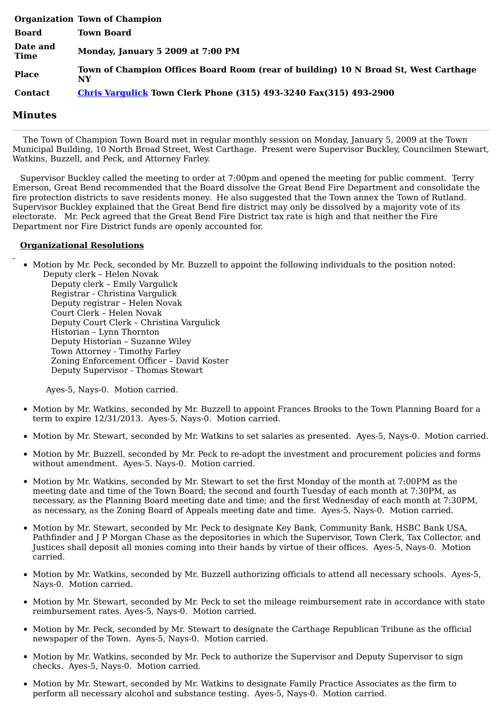|                         | <b>Organization Town of Champion</b>                                                      |
|-------------------------|-------------------------------------------------------------------------------------------|
| <b>Board</b>            | <b>Town Board</b>                                                                         |
| Date and<br><b>Time</b> | Monday, January 5 2009 at 7:00 PM                                                         |
| <b>Place</b>            | Town of Champion Offices Board Room (rear of building) 10 N Broad St, West Carthage<br>NY |
| <b>Contact</b>          | <b>Chris Vargulick Town Clerk Phone (315) 493-3240 Fax(315) 493-2900</b>                  |

## **Minutes**

The Town of Champion Town Board met in regular monthly session on Monday, January 5, 2009 at the Town Municipal Building, 10 North Broad Street, West Carthage. Present were Supervisor Buckley, Councilmen Stewart, Watkins, Buzzell, and Peck, and Attorney Farley.

Supervisor Buckley called the meeting to order at 7:00pm and opened the meeting for public comment. Terry Emerson, Great Bend recommended that the Board dissolve the Great Bend Fire Department and consolidate the fire protection districts to save residents money. He also suggested that the Town annex the Town of Rutland. Supervisor Buckley explained that the Great Bend fire district may only be dissolved by a majority vote of its electorate. Mr. Peck agreed that the Great Bend Fire District tax rate is high and that neither the Fire Department nor Fire District funds are openly accounted for.

## **Organizational Resolutions**

• Motion by Mr. Peck, seconded by Mr. Buzzell to appoint the following individuals to the position noted:

Deputy clerk – Helen Novak Deputy clerk – Emily Vargulick Registrar - Christina Vargulick Deputy registrar – Helen Novak Court Clerk – Helen Novak Deputy Court Clerk – Christina Vargulick Historian – Lynn Thornton Deputy Historian – Suzanne Wiley Town Attorney - Timothy Farley Zoning Enforcement Officer – David Koster Deputy Supervisor - Thomas Stewart

Ayes-5, Nays-0. Motion carried.

- Motion by Mr. Watkins, seconded by Mr. Buzzell to appoint Frances Brooks to the Town Planning Board for a term to expire 12/31/2013. Ayes-5, Nays-0. Motion carried.
- Motion by Mr. Stewart, seconded by Mr. Watkins to set salaries as presented. Ayes-5, Nays-0. Motion carried.
- Motion by Mr. Buzzell, seconded by Mr. Peck to re-adopt the investment and procurement policies and forms without amendment. Ayes-5. Nays-0. Motion carried.
- Motion by Mr. Watkins, seconded by Mr. Stewart to set the first Monday of the month at 7:00PM as the meeting date and time of the Town Board; the second and fourth Tuesday of each month at 7:30PM, as necessary, as the Planning Board meeting date and time; and the first Wednesday of each month at 7:30PM, as necessary, as the Zoning Board of Appeals meeting date and time. Ayes-5, Nays-0. Motion carried.
- Motion by Mr. Stewart, seconded by Mr. Peck to designate Key Bank, Community Bank, HSBC Bank USA, Pathfinder and J P Morgan Chase as the depositories in which the Supervisor, Town Clerk, Tax Collector, and Justices shall deposit all monies coming into their hands by virtue of their offices. Ayes-5, Nays-0. Motion carried.
- Motion by Mr. Watkins, seconded by Mr. Buzzell authorizing officials to attend all necessary schools. Ayes-5, Nays-0. Motion carried.
- Motion by Mr. Stewart, seconded by Mr. Peck to set the mileage reimbursement rate in accordance with state reimbursement rates. Ayes-5, Nays-0. Motion carried.
- Motion by Mr. Peck, seconded by Mr. Stewart to designate the Carthage Republican Tribune as the official newspaper of the Town. Ayes-5, Nays-0. Motion carried.
- $\bullet$  Motion by Mr. Watkins, seconded by Mr. Peck to authorize the Supervisor and Deputy Supervisor to sign checks. Ayes-5, Nays-0. Motion carried.
- Motion by Mr. Stewart, seconded by Mr. Watkins to designate Family Practice Associates as the firm to perform all necessary alcohol and substance testing. Ayes-5, Nays-0. Motion carried.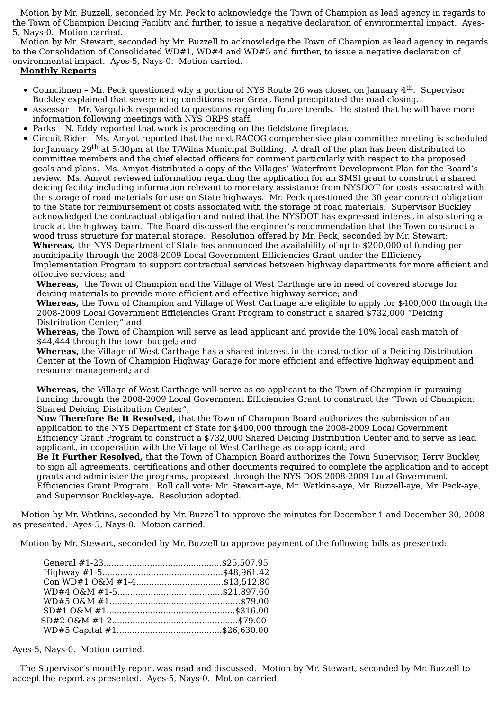Motion by Mr. Buzzell, seconded by Mr. Peck to acknowledge the Town of Champion as lead agency in regards to the Town of Champion Deicing Facility and further, to issue a negative declaration of environmental impact. Ayes-5, Nays-0. Motion carried.

Motion by Mr. Stewart, seconded by Mr. Buzzell to acknowledge the Town of Champion as lead agency in regards to the Consolidation of Consolidated WD#1, WD#4 and WD#5 and further, to issue a negative declaration of environmental impact. Ayes-5, Nays-0. Motion carried.

## **Monthly Reports**

- Councilmen Mr. Peck questioned why a portion of NYS Route 26 was closed on January 4<sup>th</sup>. Supervisor Buckley explained that severe icing conditions near Great Bend precipitated the road closing.
- Assessor Mr. Vargulick responded to questions regarding future trends. He stated that he will have more  $\bullet$ information following meetings with NYS ORPS staff.
- Parks N. Eddy reported that work is proceeding on the fieldstone fireplace.  $\bullet$
- $\bullet$ Circuit Rider – Ms. Amyot reported that the next RACOG comprehensive plan committee meeting is scheduled for January 29<sup>th</sup> at 5:30pm at the T/Wilna Municipal Building. A draft of the plan has been distributed to committee members and the chief elected officers for comment particularly with respect to the proposed goals and plans. Ms. Amyot distributed a copy of the Villages' Waterfront Development Plan for the Board's review. Ms. Amyot reviewed information regarding the application for an SMSI grant to construct a shared deicing facility including information relevant to monetary assistance from NYSDOT for costs associated with the storage of road materials for use on State highways. Mr. Peck questioned the 30 year contract obligation to the State for reimbursement of costs associated with the storage of road materials. Supervisor Buckley acknowledged the contractual obligation and noted that the NYSDOT has expressed interest in also storing a truck at the highway barn. The Board discussed the engineer's recommendation that the Town construct a wood truss structure for material storage. Resolution offered by Mr. Peck, seconded by Mr. Stewart: **Whereas,** the NYS Department of State has announced the availability of up to \$200,000 of funding per municipality through the 2008-2009 Local Government Efficiencies Grant under the Efficiency Implementation Program to support contractual services between highway departments for more efficient and

effective services; and

**Whereas,** the Town of Champion and the Village of West Carthage are in need of covered storage for deicing materials to provide more efficient and effective highway service; and

**Whereas,** the Town of Champion and Village of West Carthage are eligible to apply for \$400,000 through the 2008-2009 Local Government Efficiencies Grant Program to construct a shared \$732,000 "Deicing Distribution Center;" and

**Whereas,** the Town of Champion will serve as lead applicant and provide the 10% local cash match of \$44,444 through the town budget; and

**Whereas,** the Village of West Carthage has a shared interest in the construction of a Deicing Distribution Center at the Town of Champion Highway Garage for more efficient and effective highway equipment and resource management; and

**Whereas,** the Village of West Carthage will serve as co-applicant to the Town of Champion in pursuing funding through the 2008-2009 Local Government Efficiencies Grant to construct the "Town of Champion: Shared Deicing Distribution Center",

**Now Therefore Be It Resolved,** that the Town of Champion Board authorizes the submission of an application to the NYS Department of State for \$400,000 through the 2008-2009 Local Government Efficiency Grant Program to construct a \$732,000 Shared Deicing Distribution Center and to serve as lead applicant, in cooperation with the Village of West Carthage as co-applicant; and

**Be It Further Resolved,** that the Town of Champion Board authorizes the Town Supervisor, Terry Buckley, to sign all agreements, certifications and other documents required to complete the application and to accept grants and administer the programs, proposed through the NYS DOS 2008-2009 Local Government Efficiencies Grant Program. Roll call vote: Mr. Stewart-aye, Mr. Watkins-aye, Mr. Buzzell-aye, Mr. Peck-aye, and Supervisor Buckley-aye. Resolution adopted.

Motion by Mr. Watkins, seconded by Mr. Buzzell to approve the minutes for December 1 and December 30, 2008 as presented. Ayes-5, Nays-0. Motion carried.

Motion by Mr. Stewart, seconded by Mr. Buzzell to approve payment of the following bills as presented:

| Con WD#1 O&M #1-4\$13,512.80 |  |
|------------------------------|--|
|                              |  |
|                              |  |
|                              |  |
|                              |  |
|                              |  |

Ayes-5, Nays-0. Motion carried.

The Supervisor's monthly report was read and discussed. Motion by Mr. Stewart, seconded by Mr. Buzzell to accept the report as presented. Ayes-5, Nays-0. Motion carried.